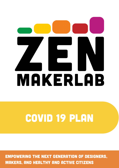# MAKERLAB

# Covid 19 plan

Empowering the next generation of designers, makers, and healthy and active citizens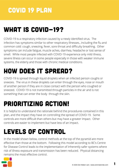# WHAT IS COVID-19?

COVID-19 is a respiratory infection caused by a newly identified virus. The infection has symptoms similar to other respiratory illnesses., including the flu and common cold: cough, sneezing, fever, sore throat and difficulty breathing. Other symptoms can include fatigue, muscle aches, diarrhea, headache or lost sense of smell. While most people infected with COVID-19 experience only mild illness, severe illness can occur in some people especially in those with weaker immune systems, the elderly and those with chronic medical conditions.

# how does it spread?

COVID-19 is spread through liquid droplets when an infected person coughs or sneezes. The virus in these droplets can enter through the eyes, nose or mouth of another person if they are in close contact with the person who coughed or sneezed. COVID-19 is not transmitted through particles in the air and is not something that can enter the body through the skin.

# prioritizing action!

It is helpful to understand the rationale behind the procedures contained in this plan, and the impact they have on controlling the spread of COVID-19. Some controls are more difficult than others but may have a greater impact. Other controls are easier to implement but have less of an impact.

# levels of control

In the model shown below, control methods at the top of the pyramid are more effective than those at the bottom. Following this model according to BC's Centre for Disease Control leads to the implementation of inherently safer systems where risk of illness exposure and transmission has been reduced. Physical distancing remains the most effective control.

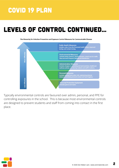# LEVELS OF CONTROL CONTINUED...

The Hierarchy for Infection Prevention and Exposure Control Measures for Communicable Disease



Typically environmental controls are favoured over admin, personal, and PPE for controlling exposures in the school. This is because most environmental controls are designed to prevent students and staff from coming into contact in the first place.

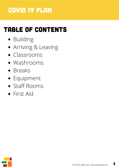# table of contents

- Building
- Arriving & Leaving
- Classrooms
- Washrooms
- Breaks
- **•** Equipment
- Staff Rooms
- First Aid

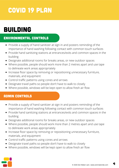# building

### environmental controls

- Provide a supply of hand sanitizer at sign in and posters reminding of the importance of hand washing following contact with common touch surfaces
- Provide hand sanitizing stations at entrances/exits and common spaces in the building
- Designate additional rooms for breaks areas, or new outdoor spaces
- Where possible, people should work more than 2 metres apart and use tape to delineate work areas appropriately
- Increase floor space by removing or repositioning unnecessary furniture, materials, and equipment
- Control traffic patterns using cones and arrows
- Designate travel paths so people don't have to walk to closely
- Where possible, windows will be kept open to allow fresh air flow

### **ADMIN CONTROLS**

- Provide a supply of hand sanitizer at sign in and posters reminding of the importance of hand washing following contact with common touch surfaces
- Provide hand sanitizing stations at entrances/exits and common spaces in the building
- Designate additional rooms for breaks areas, or new outdoor spaces
- Where possible, people should work more than 2 metres apart and use tape to delineate work areas appropriately
- Increase floor space by removing or repositioning unnecessary furniture, materials, and equipment
- Control traffic patterns using cones and arrows
- Designate travel paths so people don't have to walk to closely
- Where possible, windows will be kept open to allow fresh air flow

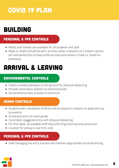# building

### PERSONAL & PPE CONTROLS

- Masks and Shields are available for all students and staff
- Mask or shield should be worn at times when a distance of 2 meters cannot be maintained (Zen actively enforces everyone where a mask or shield on premises)

# arrival & leaving

### environmental controls

- Clearly marked pathways on the ground for physical distancing
- Provide sanitization stations at entrances/exits
- Social distance dots outside of entrances

### **ADMIN CONTROLS**

- Students with complaints of illness will be placed in isolation to await pick up by parents
- Scheduled entry for each grade
- Controlled, staggered entry with physical distancing
- For first week, all available staff help enforcing morning entry protocols
- Location for pickup is out front only

### PERSONAL & PPE CONTROLS

Staff managing the entry process will maintain appropriate social distancing

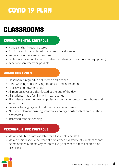# Classrooms

### environmental controls

- Hand sanitizer in each classroom
- Furniture and chairs placed to ensure social distance
- Removal of unnecessary furniture
- Table stations set up for each student (No sharing of resources or equipment)
- Window open wherever possible

### Admin controls

- Classroom is regularly de-cluttered and cleaned
- Hand washing and sanitizing stations stored in the open
- Tables wiped down each day
- All manipulatives are disinfected at the end of the day
- All students made familiar with new routines
- All students have their own supplies and container brought from home and left at school
- Personal belongings kept in students bags at all times
- All staff implement ongoing, informal cleaning of high contact areas in their classrooms
- Increased routine cleaning

### Personal & PPE Controls

- Masks and Shields are available for all students and staff
- Mask or shield should be worn at times when a distance of 2 meters cannot be maintained (Zen actively enforces everyone where a mask or shield on premises)

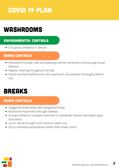# Washrooms

### environmental controls

• Occupancy limited to 1 person

### **ADMIN CONTROLS**

- Movement through halls and walkways will be monitored to encourage social distance
- Regular cleaning throughout the day
- Hands sanitized before entry into washroom and washed thoroughly before exit

## **BREAKS**

### **ADMIN CONTROLS**

- Staggered break times with designated areas
- Monitored movement through hallways
- Groups limited to 5 people maximum on breaksNo shared utensilsNo open food items
- Lunch will be brought from home or eaten out
- Fat at individual workstations rather than break rooms

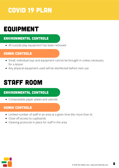# **EQUIPMENT**

### environmental controls

All outside play equipment has been removed

### **ADMIN CONTROLS**

- Small, individual toys and equipment cannot be brought in unless necessary for a lesson
- Any physical equipment used will be disinfected before next use

# staff room

### environmental controls

• Compostable paper plates and utensils

### **ADMIN CONTROLS**

- Limited number of staff in an area at a given time (No more than 6)
- Close off access to cupboards
- Cleaning protocols in place for staff in the area